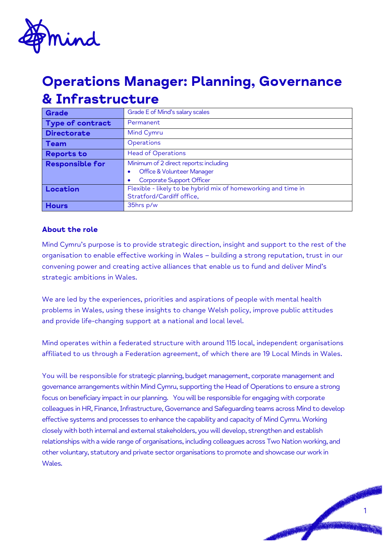

# **Operations Manager: Planning, Governance & Infrastructure**

| <b>Grade</b>           | Grade E of Mind's salary scales                               |
|------------------------|---------------------------------------------------------------|
| Type of contract       | Permanent                                                     |
| <b>Directorate</b>     | Mind Cymru                                                    |
| <b>Team</b>            | Operations                                                    |
| <b>Reports to</b>      | <b>Head of Operations</b>                                     |
| <b>Responsible for</b> | Minimum of 2 direct reports: including                        |
|                        | Office & Volunteer Manager                                    |
|                        | Corporate Support Officer                                     |
| Location               | Flexible - likely to be hybrid mix of homeworking and time in |
|                        | Stratford/Cardiff office,                                     |
| <b>Hours</b>           | 35hrs p/w                                                     |

### **About the role**

Mind Cymru's purpose is to provide strategic direction, insight and support to the rest of the organisation to enable effective working in Wales – building a strong reputation, trust in our convening power and creating active alliances that enable us to fund and deliver Mind's strategic ambitions in Wales.

We are led by the experiences, priorities and aspirations of people with mental health problems in Wales, using these insights to change Welsh policy, improve public attitudes and provide life-changing support at a national and local level.

Mind operates within a federated structure with around 115 local, independent organisations affiliated to us through a Federation agreement, of which there are 19 Local Minds in Wales.

You will be responsible for strategic planning, budget management, corporate management and governance arrangements within Mind Cymru, supporting the Head of Operations to ensure a strong focus on beneficiary impact in our planning. You will be responsible for engaging with corporate colleagues in HR, Finance, Infrastructure, Governance and Safeguarding teams across Mind to develop effective systems and processes to enhance the capability and capacity of Mind Cymru. Working closely with both internal and external stakeholders, you will develop, strengthen and establish relationships with a wide range of organisations, including colleagues across Two Nation working, and other voluntary, statutory and private sector organisations to promote and showcase our work in Wales.

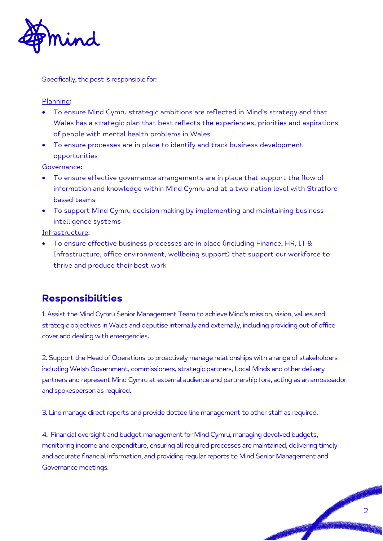

Specifically, the post is responsible for:

#### Planning:

- To ensure Mind Cymru strategic ambitions are reflected in Mind's strategy and that Wales has a strategic plan that best reflects the experiences, priorities and aspirations of people with mental health problems in Wales
- To ensure processes are in place to identify and track business development opportunities

Governance:

- To ensure effective governance arrangements are in place that support the flow of information and knowledge within Mind Cymru and at a two-nation level with Stratford based teams
- To support Mind Cymru decision making by implementing and maintaining business intelligence systems

Infrastructure:

• To ensure effective business processes are in place (including Finance, HR, IT & Infrastructure, office environment, wellbeing support) that support our workforce to thrive and produce their best work

## **Responsibilities**

1. Assist the Mind Cymru Senior Management Team to achieve Mind's mission, vision, values and strategic objectives in Wales and deputise internally and externally, including providing out of office cover and dealing with emergencies.

2. Support the Head of Operations to proactively manage relationships with a range of stakeholders including Welsh Government, commissioners, strategic partners, Local Minds and other delivery partners and represent Mind Cymru at external audience and partnership fora, acting as an ambassador and spokesperson as required.

3. Line manage direct reports and provide dotted line management to other staff as required.

4. Financial oversight and budget management for Mind Cymru, managing devolved budgets, monitoring income and expenditure, ensuring all required processes are maintained, delivering timely and accurate financial information, and providing regular reports to Mind Senior Management and Governance meetings.

2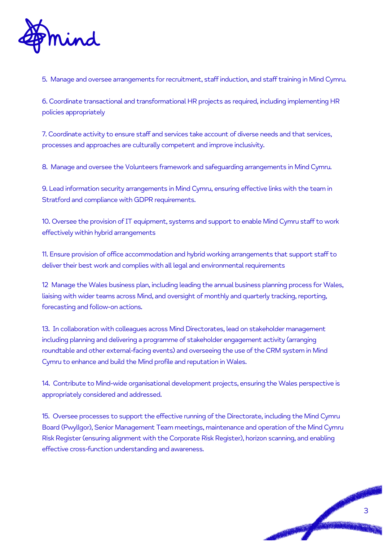

5. Manage and oversee arrangements for recruitment, staff induction, and staff training in Mind Cymru.

6. Coordinate transactional and transformational HR projects as required, including implementing HR policies appropriately

7. Coordinate activity to ensure staff and services take account of diverse needs and that services, processes and approaches are culturally competent and improve inclusivity.

8. Manage and oversee the Volunteers framework and safeguarding arrangements in Mind Cymru.

9. Lead information security arrangements in Mind Cymru, ensuring effective links with the team in Stratford and compliance with GDPR requirements.

10. Oversee the provision of IT equipment, systems and support to enable Mind Cymru staff to work effectively within hybrid arrangements

11. Ensure provision of office accommodation and hybrid working arrangements that support staff to deliver their best work and complies with all legal and environmental requirements

12 Manage the Wales business plan, including leading the annual business planning process for Wales, liaising with wider teams across Mind, and oversight of monthly and quarterly tracking, reporting, forecasting and follow-on actions.

13. In collaboration with colleagues across Mind Directorates, lead on stakeholder management including planning and delivering a programme of stakeholder engagement activity (arranging roundtable and other external-facing events) and overseeing the use of the CRM system in Mind Cymru to enhance and build the Mind profile and reputation in Wales.

14. Contribute to Mind-wide organisational development projects, ensuring the Wales perspective is appropriately considered and addressed.

15. Oversee processes to support the effective running of the Directorate, including the Mind Cymru Board (Pwyllgor), Senior Management Team meetings, maintenance and operation of the Mind Cymru Risk Register (ensuring alignment with the Corporate Risk Register), horizon scanning, and enabling effective cross-function understanding and awareness.

3

PASSAGE AND REAL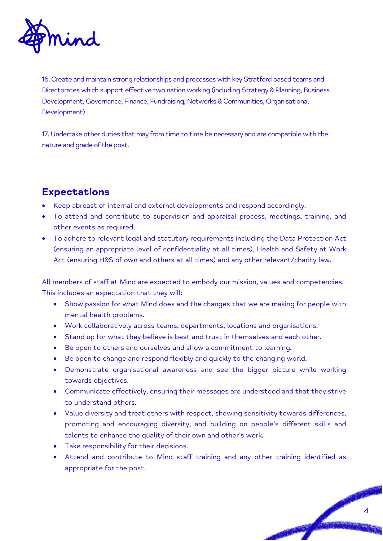

16. Create and maintain strong relationships and processes with key Stratford based teams and Directorates which support effective two nation working (including Strategy & Planning, Business Development, Governance, Finance, Fundraising, Networks & Communities, Organisational Development)

17. Undertake other duties that may from time to time be necessary and are compatible with the nature and grade of the post.

# **Expectations**

- Keep abreast of internal and external developments and respond accordingly.
- To attend and contribute to supervision and appraisal process, meetings, training, and other events as required.
- To adhere to relevant legal and statutory requirements including the Data Protection Act (ensuring an appropriate level of confidentiality at all times), Health and Safety at Work Act (ensuring H&S of own and others at all times) and any other relevant/charity law.

All members of staff at Mind are expected to embody our mission, values and competencies. This includes an expectation that they will:

- Show passion for what Mind does and the changes that we are making for people with mental health problems.
- Work collaboratively across teams, departments, locations and organisations.
- Stand up for what they believe is best and trust in themselves and each other.
- Be open to others and ourselves and show a commitment to learning.
- Be open to change and respond flexibly and quickly to the changing world.
- Demonstrate organisational awareness and see the bigger picture while working towards objectives.
- Communicate effectively, ensuring their messages are understood and that they strive to understand others.
- Value diversity and treat others with respect, showing sensitivity towards differences, promoting and encouraging diversity, and building on people's different skills and talents to enhance the quality of their own and other's work.
- Take responsibility for their decisions.
- Attend and contribute to Mind staff training and any other training identified as appropriate for the post.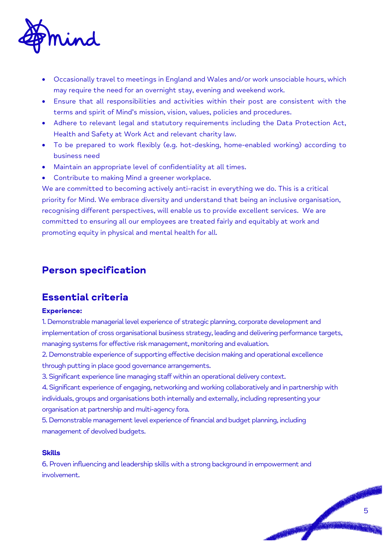

- Occasionally travel to meetings in England and Wales and/or work unsociable hours, which may require the need for an overnight stay, evening and weekend work.
- Ensure that all responsibilities and activities within their post are consistent with the terms and spirit of Mind's mission, vision, values, policies and procedures.
- Adhere to relevant legal and statutory requirements including the Data Protection Act, Health and Safety at Work Act and relevant charity law.
- To be prepared to work flexibly (e.g. hot-desking, home-enabled working) according to business need
- Maintain an appropriate level of confidentiality at all times.
- Contribute to making Mind a greener workplace.

We are committed to becoming actively anti-racist in everything we do. This is a critical priority for Mind. We embrace diversity and understand that being an inclusive organisation, recognising different perspectives, will enable us to provide excellent services. We are committed to ensuring all our employees are treated fairly and equitably at work and promoting equity in physical and mental health for all.

# **Person specification**

## **Essential criteria**

### **Experience:**

1. Demonstrable managerial level experience of strategic planning, corporate development and implementation of cross organisational business strategy, leading and delivering performance targets, managing systems for effective risk management, monitoring and evaluation.

2. Demonstrable experience of supporting effective decision making and operational excellence through putting in place good governance arrangements.

3. Significant experience line managing staff within an operational delivery context.

4. Significant experience of engaging, networking and working collaboratively and in partnership with individuals, groups and organisations both internally and externally, including representing your organisation at partnership and multi-agency fora.

5. Demonstrable management level experience of financial and budget planning, including management of devolved budgets.

#### **Skills**

6. Proven influencing and leadership skills with a strong background in empowerment and involvement.

PASSAGE AND